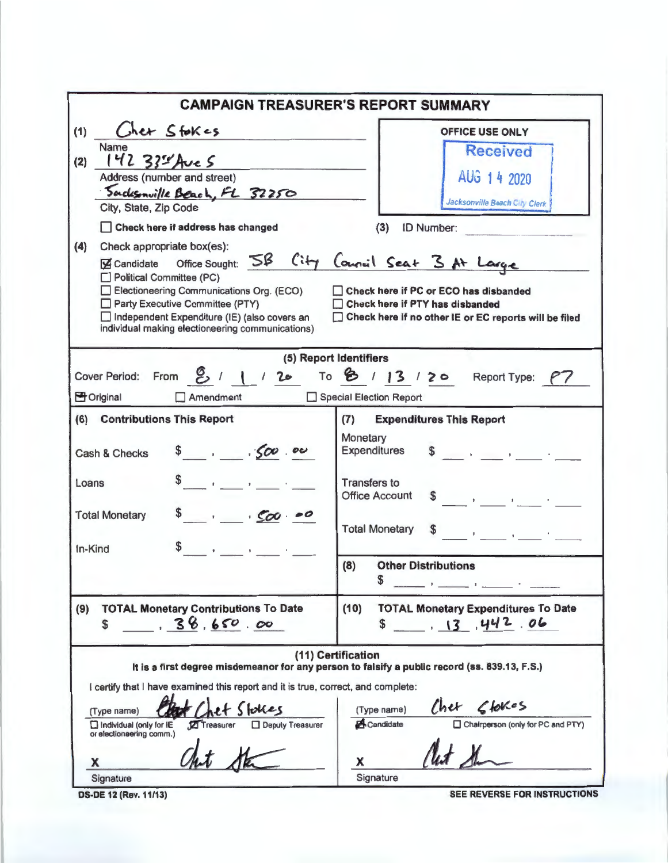| <b>CAMPAIGN TREASURER'S REPORT SUMMARY</b>                                                                                                                                                                                                                                                                                                                                                                                                                                     |                                                                                                                                                                                                                                            |  |  |  |  |  |
|--------------------------------------------------------------------------------------------------------------------------------------------------------------------------------------------------------------------------------------------------------------------------------------------------------------------------------------------------------------------------------------------------------------------------------------------------------------------------------|--------------------------------------------------------------------------------------------------------------------------------------------------------------------------------------------------------------------------------------------|--|--|--|--|--|
| Cher Stokes<br>(1)                                                                                                                                                                                                                                                                                                                                                                                                                                                             | <b>OFFICE USE ONLY</b>                                                                                                                                                                                                                     |  |  |  |  |  |
| Name<br>$142334$ Ave S<br>(2)<br>Address (number and street)<br>Sadesmuille Beach, FL 32250<br>City, State, Zip Code<br>Check here if address has changed<br>(4)<br>Check appropriate box(es):<br>Be Candidate Office Sought: 58 City Council Seat 3 At Large<br>Political Committee (PC)<br>Electioneering Communications Org. (ECO)<br>Party Executive Committee (PTY)<br>□ Independent Expenditure (IE) (also covers an<br>individual making electioneering communications) | <b>Received</b><br>AUG 1 4 2020<br>Jacksonville Beach City Clerk<br>(3)<br><b>ID Number:</b><br>Check here if PC or ECO has disbanded<br><b>Check here if PTY has disbanded</b><br>□ Check here if no other IE or EC reports will be filed |  |  |  |  |  |
| (5) Report Identifiers                                                                                                                                                                                                                                                                                                                                                                                                                                                         |                                                                                                                                                                                                                                            |  |  |  |  |  |
| Cover Period: From $\mathfrak{G}$ /   / $2\bullet$ To $\mathfrak{G}$ /   $3$ / $2\circ$ Report Type: $\wp$ 7<br><b>B</b> Original<br>Amendment                                                                                                                                                                                                                                                                                                                                 | Special Election Report                                                                                                                                                                                                                    |  |  |  |  |  |
|                                                                                                                                                                                                                                                                                                                                                                                                                                                                                |                                                                                                                                                                                                                                            |  |  |  |  |  |
| (6) Contributions This Report<br>\$ 500.00<br>Cash & Checks                                                                                                                                                                                                                                                                                                                                                                                                                    | <b>Expenditures This Report</b><br>(7)<br>Monetary                                                                                                                                                                                         |  |  |  |  |  |
| Loans                                                                                                                                                                                                                                                                                                                                                                                                                                                                          | <b>Transfers to</b><br><b>Office Account</b><br>$\sim$ $\sim$ $\sim$ $\sim$                                                                                                                                                                |  |  |  |  |  |
| \$ 100.00<br><b>Total Monetary</b><br>In-Kind                                                                                                                                                                                                                                                                                                                                                                                                                                  | <b>Total Monetary</b><br>$\int$                                                                                                                                                                                                            |  |  |  |  |  |
|                                                                                                                                                                                                                                                                                                                                                                                                                                                                                | (8)<br><b>Other Distributions</b><br>\$                                                                                                                                                                                                    |  |  |  |  |  |
| <b>TOTAL Monetary Contributions To Date</b><br>(9)<br>38.650.00<br>\$                                                                                                                                                                                                                                                                                                                                                                                                          | <b>TOTAL Monetary Expenditures To Date</b><br>(10)<br>13,442.06                                                                                                                                                                            |  |  |  |  |  |
| I certify that I have examined this report and it is true, correct, and complete:<br>$2 +$ Stokes<br>(Type name)<br>Deputy Treasurer<br>$\Box$ Individual (only for IE<br><b>D</b> Treasurer<br>or electioneering comm.)<br>х<br>Signature                                                                                                                                                                                                                                     | (11) Certification<br>It is a first degree misdemeanor for any person to falsify a public record (ss. 839.13, F.S.)<br>Chet Clokes<br>(Type name)<br>Candidate<br>Chairperson (only for PC and PTY)<br>x<br>Signature                      |  |  |  |  |  |

**DS-DE 12 (Rev. 11/13)** 

SEE REVERSE FOR INSTRUCTIONS